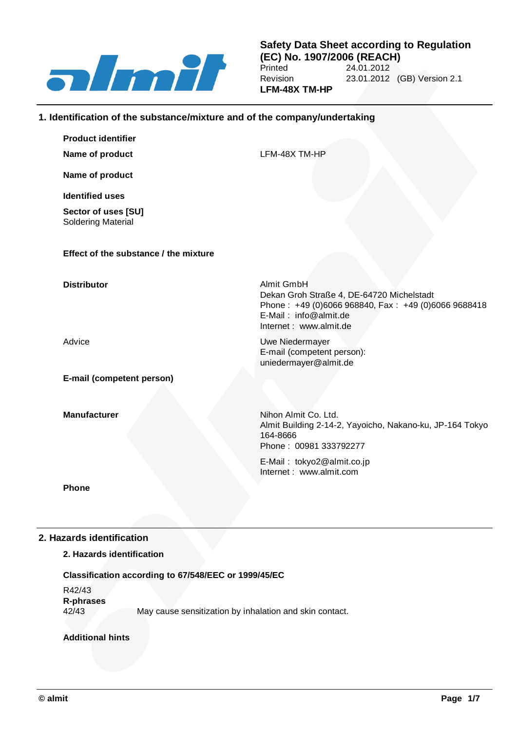

#### **Safety Data Sheet according to Regulation (EC) No. 1907/2006 (REACH)** 24.01.2012 Revision 23.01.2012 (GB) Version 2.1 **LFM-48X TM-HP**

#### **1. Identification of the substance/mixture and of the company/undertaking**

| <b>Product identifier</b>                 |                                                                                                                                                                   |
|-------------------------------------------|-------------------------------------------------------------------------------------------------------------------------------------------------------------------|
| Name of product                           | LFM-48X TM-HP                                                                                                                                                     |
| Name of product                           |                                                                                                                                                                   |
| <b>Identified uses</b>                    |                                                                                                                                                                   |
| Sector of uses [SU]<br>Soldering Material |                                                                                                                                                                   |
| Effect of the substance / the mixture     |                                                                                                                                                                   |
| <b>Distributor</b>                        | Almit GmbH<br>Dekan Groh Straße 4, DE-64720 Michelstadt<br>Phone: +49 (0)6066 968840, Fax: +49 (0)6066 9688418<br>E-Mail: info@almit.de<br>Internet: www.almit.de |
| Advice                                    | Uwe Niedermayer<br>E-mail (competent person):<br>uniedermayer@almit.de                                                                                            |
| E-mail (competent person)                 |                                                                                                                                                                   |
| <b>Manufacturer</b>                       | Nihon Almit Co. Ltd.<br>Almit Building 2-14-2, Yayoicho, Nakano-ku, JP-164 Tokyo<br>164-8666<br>Phone: 00981 333792277                                            |
|                                           | E-Mail: tokyo2@almit.co.jp<br>Internet: www.almit.com                                                                                                             |
| Dhana                                     |                                                                                                                                                                   |

**Phone**

### **2. Hazards identification**

#### **2. Hazards identification**

#### **Classification according to 67/548/EEC or 1999/45/EC**

R42/43 **R-phrases** 42/43 May cause sensitization by inhalation and skin contact.

#### **Additional hints**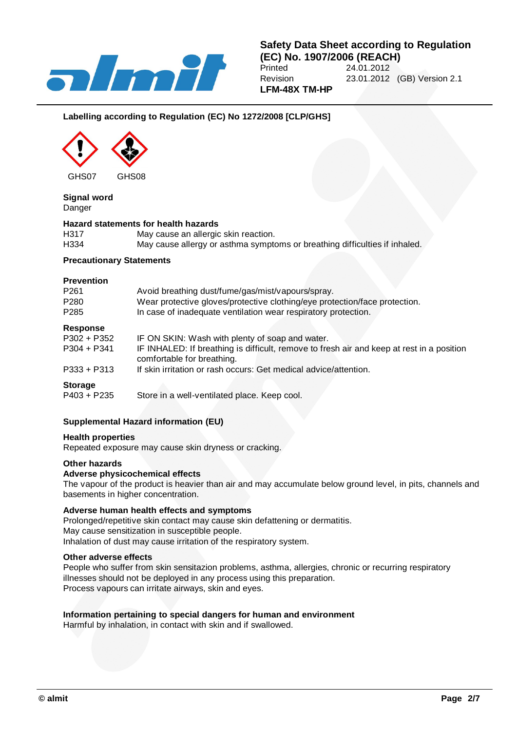

#### **Labelling according to Regulation (EC) No 1272/2008 [CLP/GHS]**



# **Signal word**

Danger

#### **Hazard statements for health hazards**

| H317 | May cause an allergic skin reaction.                                       |
|------|----------------------------------------------------------------------------|
| H334 | May cause allergy or asthma symptoms or breathing difficulties if inhaled. |

#### **Precautionary Statements**

#### **Prevention**

| P <sub>261</sub><br>P280<br>P <sub>285</sub> | Avoid breathing dust/fume/gas/mist/vapours/spray.<br>Wear protective gloves/protective clothing/eye protection/face protection.<br>In case of inadequate ventilation wear respiratory protection. |
|----------------------------------------------|---------------------------------------------------------------------------------------------------------------------------------------------------------------------------------------------------|
| Response                                     |                                                                                                                                                                                                   |
| P302 + P352                                  | IF ON SKIN: Wash with plenty of soap and water.                                                                                                                                                   |
| $P304 + P341$                                | IF INHALED: If breathing is difficult, remove to fresh air and keep at rest in a position<br>comfortable for breathing.                                                                           |
| P333 + P313                                  | If skin irritation or rash occurs: Get medical advice/attention.                                                                                                                                  |
| <b>Storage</b>                               |                                                                                                                                                                                                   |
| P403 + P235                                  | Store in a well-ventilated place. Keep cool.                                                                                                                                                      |

#### **Supplemental Hazard information (EU)**

#### **Health properties**

Repeated exposure may cause skin dryness or cracking.

#### **Other hazards**

#### **Adverse physicochemical effects**

The vapour of the product is heavier than air and may accumulate below ground level, in pits, channels and basements in higher concentration.

#### **Adverse human health effects and symptoms**

Prolonged/repetitive skin contact may cause skin defattening or dermatitis. May cause sensitization in susceptible people. Inhalation of dust may cause irritation of the respiratory system.

#### **Other adverse effects**

People who suffer from skin sensitazion problems, asthma, allergies, chronic or recurring respiratory illnesses should not be deployed in any process using this preparation. Process vapours can irritate airways, skin and eyes.

#### **Information pertaining to special dangers for human and environment**

Harmful by inhalation, in contact with skin and if swallowed.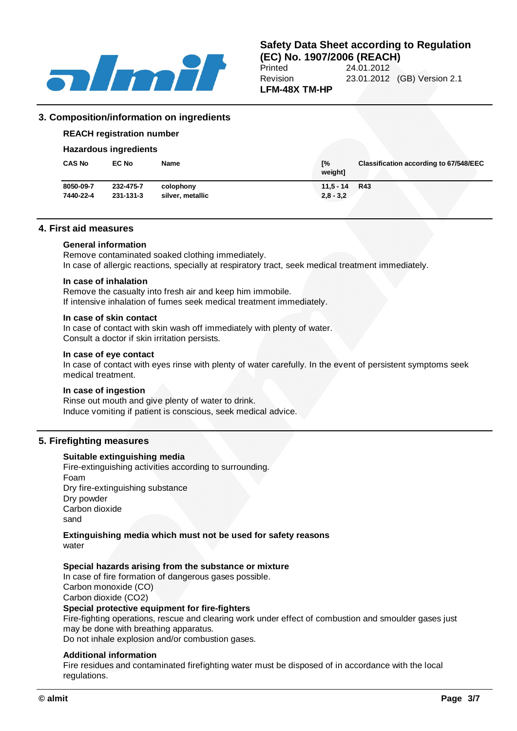

# **Safety Data Sheet according to Regulation**

**(EC) No. 1907/2006 (REACH)**<br>Printed 24.01.2012 24.01.2012 Revision 23.01.2012 (GB) Version 2.1 **LFM-48X TM-HP**

#### **3. Composition/information on ingredients**

# **REACH registration number**

#### **Hazardous ingredients**

| <b>CAS No</b> | <b>EC No</b> | <b>Name</b>      | Г%<br>weight] | <b>Classification according to 67/548/EEC</b> |
|---------------|--------------|------------------|---------------|-----------------------------------------------|
| 8050-09-7     | 232-475-7    | colophony        | $11.5 - 14$   | <b>R43</b>                                    |
| 7440-22-4     | 231-131-3    | silver, metallic | $2,8 - 3,2$   |                                               |

#### **4. First aid measures**

#### **General information**

Remove contaminated soaked clothing immediately. In case of allergic reactions, specially at respiratory tract, seek medical treatment immediately.

#### **In case of inhalation**

Remove the casualty into fresh air and keep him immobile. If intensive inhalation of fumes seek medical treatment immediately.

#### **In case of skin contact**

In case of contact with skin wash off immediately with plenty of water. Consult a doctor if skin irritation persists.

#### **In case of eye contact**

In case of contact with eyes rinse with plenty of water carefully. In the event of persistent symptoms seek medical treatment.

#### **In case of ingestion**

Rinse out mouth and give plenty of water to drink. Induce vomiting if patient is conscious, seek medical advice.

#### **5. Firefighting measures**

#### **Suitable extinguishing media**

Fire-extinguishing activities according to surrounding. Foam Dry fire-extinguishing substance Dry powder Carbon dioxide sand

#### **Extinguishing media which must not be used for safety reasons** water

#### **Special hazards arising from the substance or mixture**

In case of fire formation of dangerous gases possible. Carbon monoxide (CO) Carbon dioxide (CO2) **Special protective equipment for fire-fighters**

Fire-fighting operations, rescue and clearing work under effect of combustion and smoulder gases just may be done with breathing apparatus.

Do not inhale explosion and/or combustion gases.

#### **Additional information**

Fire residues and contaminated firefighting water must be disposed of in accordance with the local regulations.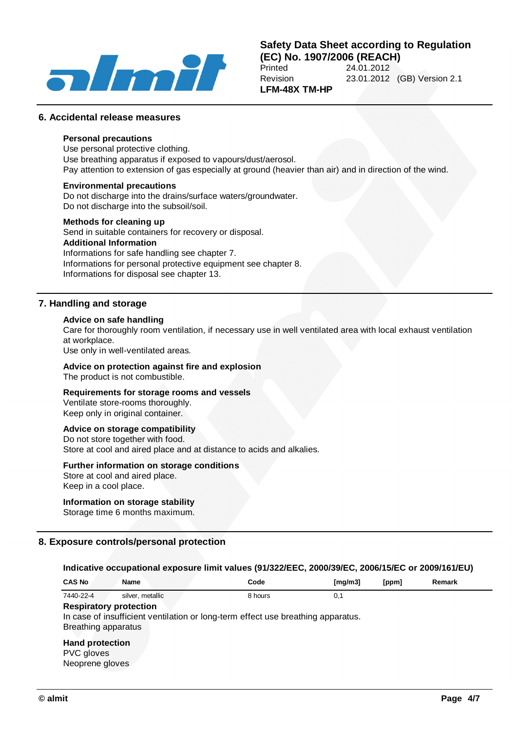

#### **Safety Data Sheet according to Regulation (EC) No. 1907/2006 (REACH)**<br>Printed 24.01.2012 24.01.2012 Revision 23.01.2012 (GB) Version 2.1 **LFM-48X TM-HP**

**6. Accidental release measures**

#### **Personal precautions**

Use personal protective clothing. Use breathing apparatus if exposed to vapours/dust/aerosol. Pay attention to extension of gas especially at ground (heavier than air) and in direction of the wind.

#### **Environmental precautions**

Do not discharge into the drains/surface waters/groundwater. Do not discharge into the subsoil/soil.

#### **Methods for cleaning up**

Send in suitable containers for recovery or disposal. **Additional Information** Informations for safe handling see chapter 7. Informations for personal protective equipment see chapter 8. Informations for disposal see chapter 13.

#### **7. Handling and storage**

#### **Advice on safe handling**

Care for thoroughly room ventilation, if necessary use in well ventilated area with local exhaust ventilation at workplace.

Use only in well-ventilated areas.

## **Advice on protection against fire and explosion**

The product is not combustible.

#### **Requirements for storage rooms and vessels**

Ventilate store-rooms thoroughly. Keep only in original container.

#### **Advice on storage compatibility**

Do not store together with food. Store at cool and aired place and at distance to acids and alkalies.

#### **Further information on storage conditions**

Store at cool and aired place. Keep in a cool place.

#### **Information on storage stability**

Storage time 6 months maximum.

#### **8. Exposure controls/personal protection**

#### **Indicative occupational exposure limit values (91/322/EEC, 2000/39/EC, 2006/15/EC or 2009/161/EU)**

| <b>CAS No</b>                                           | Name                                                                             | Code    | Imq/m31 | [ppm] | Remark |
|---------------------------------------------------------|----------------------------------------------------------------------------------|---------|---------|-------|--------|
| 7440-22-4<br><b>Respiratory protection</b>              | silver, metallic                                                                 | 8 hours | 0,1     |       |        |
| Breathing apparatus                                     | In case of insufficient ventilation or long-term effect use breathing apparatus. |         |         |       |        |
| <b>Hand protection</b><br>PVC gloves<br>Neoprene gloves |                                                                                  |         |         |       |        |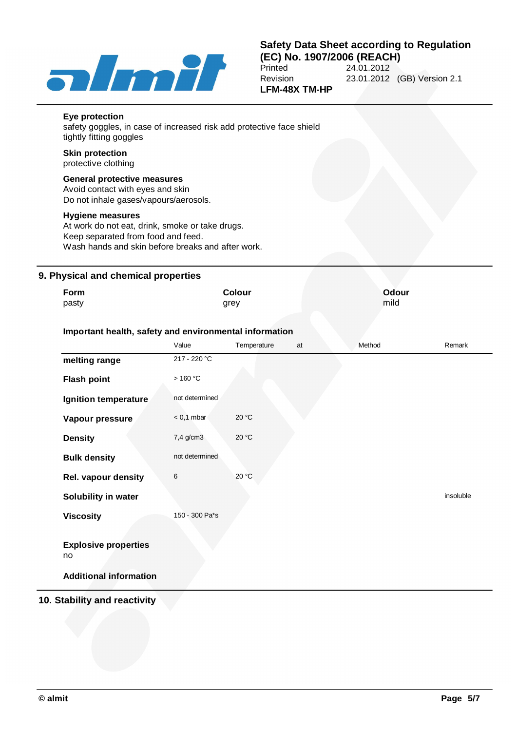

#### **Safety Data Sheet according to Regulation (EC) No. 1907/2006 (REACH)**<br>Printed 24.01.2012 Printed 24.01.2012<br>Revision 23.01.2012 Revision 23.01.2012 (GB) Version 2.1 **LFM-48X TM-HP**

| Eye protection<br>safety goggles, in case of increased risk add protective face shield<br>tightly fitting goggles                                              |
|----------------------------------------------------------------------------------------------------------------------------------------------------------------|
| <b>Skin protection</b><br>protective clothing                                                                                                                  |
| <b>General protective measures</b><br>Avoid contact with eyes and skin<br>Do not inhale gases/vapours/aerosols.                                                |
| Hygiene measures<br>At work do not eat, drink, smoke or take drugs.<br>Keep separated from food and feed.<br>Wash hands and skin before breaks and after work. |

#### **9. Physical and chemical properties**

| Form<br>pasty                                          |                | <b>Colour</b><br>grey |    | <b>Odour</b><br>mild |           |
|--------------------------------------------------------|----------------|-----------------------|----|----------------------|-----------|
| Important health, safety and environmental information |                |                       |    |                      |           |
|                                                        | Value          | Temperature           | at | Method               | Remark    |
| melting range                                          | 217 - 220 °C   |                       |    |                      |           |
| <b>Flash point</b>                                     | >160 °C        |                       |    |                      |           |
| Ignition temperature                                   | not determined |                       |    |                      |           |
| Vapour pressure                                        | $< 0.1$ mbar   | 20 °C                 |    |                      |           |
| <b>Density</b>                                         | 7,4 g/cm3      | 20 °C                 |    |                      |           |
| <b>Bulk density</b>                                    | not determined |                       |    |                      |           |
| Rel. vapour density                                    | 6              | 20 °C                 |    |                      |           |
| Solubility in water                                    |                |                       |    |                      | insoluble |
| <b>Viscosity</b>                                       | 150 - 300 Pa*s |                       |    |                      |           |
| <b>Explosive properties</b><br>no                      |                |                       |    |                      |           |
| <b>Additional information</b>                          |                |                       |    |                      |           |

#### **10. Stability and reactivity**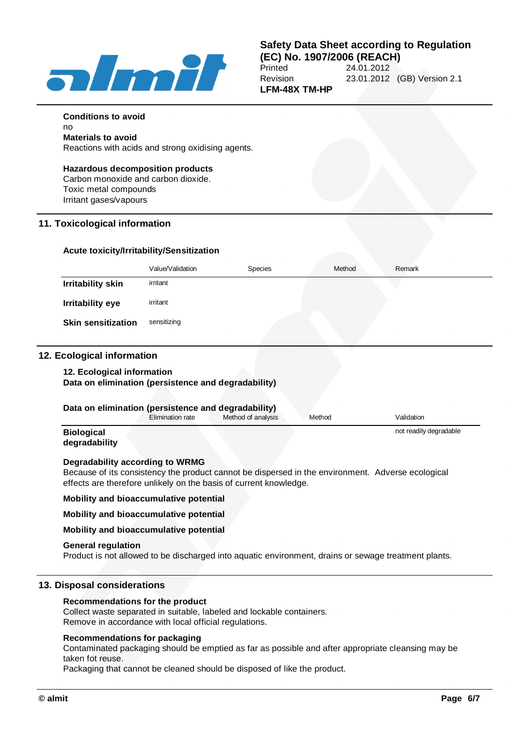

**Conditions to avoid**

# **Safety Data Sheet according to Regulation**

**(EC) No. 1907/2006 (REACH)**<br>Printed 24.01.2012 24.01.2012 Revision 23.01.2012 (GB) Version 2.1 **LFM-48X TM-HP**

| <b>Hazardous decomposition products</b><br>Carbon monoxide and carbon dioxide.<br>Toxic metal compounds<br>Irritant gases/vapours |                  |                                                                   |        |                                                                                                      |
|-----------------------------------------------------------------------------------------------------------------------------------|------------------|-------------------------------------------------------------------|--------|------------------------------------------------------------------------------------------------------|
| 11. Toxicological information                                                                                                     |                  |                                                                   |        |                                                                                                      |
| Acute toxicity/Irritability/Sensitization                                                                                         |                  |                                                                   |        |                                                                                                      |
|                                                                                                                                   | Value/Validation | Species                                                           | Method | Remark                                                                                               |
| <b>Irritability skin</b>                                                                                                          | irritant         |                                                                   |        |                                                                                                      |
| <b>Irritability eye</b>                                                                                                           | irritant         |                                                                   |        |                                                                                                      |
| <b>Skin sensitization</b>                                                                                                         | sensitizing      |                                                                   |        |                                                                                                      |
|                                                                                                                                   |                  |                                                                   |        |                                                                                                      |
| 12. Ecological information<br>Data on elimination (persistence and degradability)                                                 |                  |                                                                   |        |                                                                                                      |
| 12. Ecological information<br>Data on elimination (persistence and degradability)                                                 | Elimination rate | Method of analysis                                                | Method | Validation                                                                                           |
| <b>Biological</b><br>degradability                                                                                                |                  |                                                                   |        | not readily degradable                                                                               |
| Degradability according to WRMG                                                                                                   |                  | effects are therefore unlikely on the basis of current knowledge. |        | Because of its consistency the product cannot be dispersed in the environment. Adverse ecological    |
| Mobility and bioaccumulative potential                                                                                            |                  |                                                                   |        |                                                                                                      |
| Mobility and bioaccumulative potential                                                                                            |                  |                                                                   |        |                                                                                                      |
| Mobility and bioaccumulative potential                                                                                            |                  |                                                                   |        |                                                                                                      |
| <b>General regulation</b>                                                                                                         |                  |                                                                   |        | Product is not allowed to be discharged into aquatic environment, drains or sewage treatment plants. |

Remove in accordance with local official regulations.

#### **Recommendations for packaging**

Contaminated packaging should be emptied as far as possible and after appropriate cleansing may be taken fot reuse.

Packaging that cannot be cleaned should be disposed of like the product.